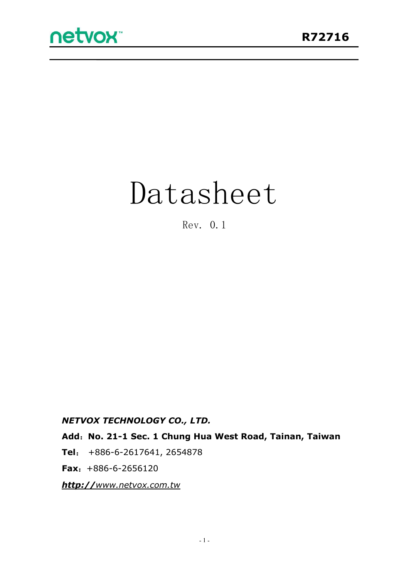# Datasheet

Rev. 0.1

*NETVOX TECHNOLOGY CO., LTD.*

**Add**:**No. 21-1 Sec. 1 Chung Hua West Road, Tainan, Taiwan**

**Tel**: +886-6-2617641, 2654878

**Fax**:+886-6-2656120

*http://[www.netvox.com.tw](http://www.netvox.com.tw)*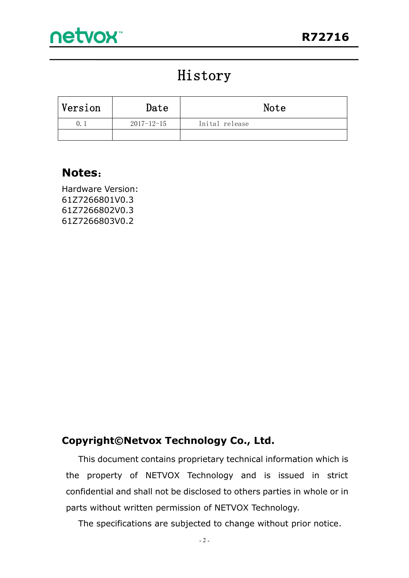# History

| Version | Date       | Note           |
|---------|------------|----------------|
| 0.      | 2017-12-15 | Inital release |
|         |            |                |

## **Notes**:

Hardware Version: 61Z7266801V0.3 61Z7266802V0.3 61Z7266803V0.2

#### **Copyright©Netvox Technology Co., Ltd.**

This document contains proprietary technical information which is the property of NETVOX Technology and is issued in strict confidential and shall not be disclosed to others parties in whole or in parts without written permission of NETVOX Technology.

The specifications are subjected to change without prior notice.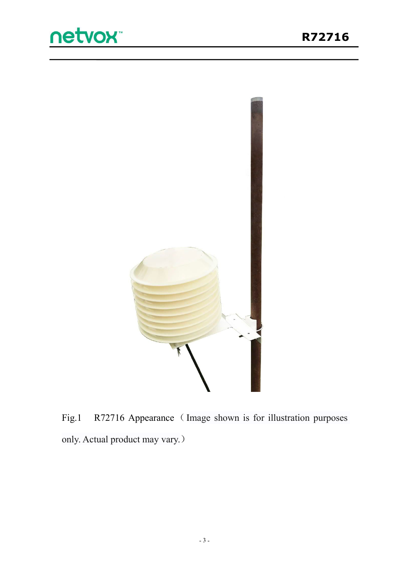



Fig.1 R72716 Appearance (Image shown is for illustration purposes only. Actual product may vary.)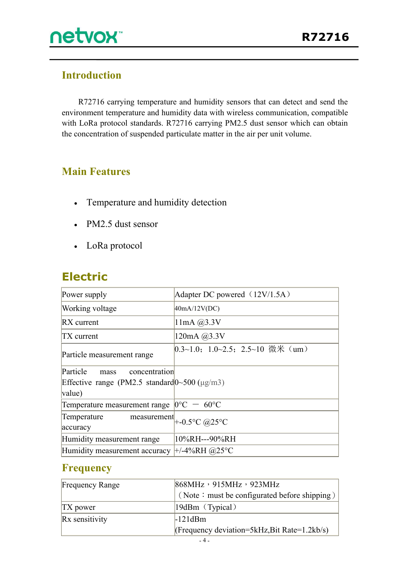

## **Introduction**

R72716 carrying temperature and humidity sensors that can detect and send the environment temperature and humidity data with wireless communication, compatible with LoRa protocol standards. R72716 carrying PM2.5 dust sensor which can obtain the concentration of suspended particulate matter in the air per unit volume.

### **Main Features**

- Temperature and humidity detection
- PM2.5 dust sensor
- LoRa protocol

# **Electric**

| Power supply                                               | Adapter DC powered $(12V/1.5A)$       |
|------------------------------------------------------------|---------------------------------------|
| Working voltage                                            | 40mA/12V(DC)                          |
| $RX$ current                                               | $11mA$ $@3.3V$                        |
| $TX$ current                                               | 120mA @3.3V                           |
| Particle measurement range                                 | $[0.3~1.0; 1.0~2.5; 2.5~10$ 微米 (um)   |
| Particle<br>concentration<br>mass                          |                                       |
| Effective range (PM2.5 standard $0\sim 500$ ( $\mu$ g/m3)  |                                       |
| value)                                                     |                                       |
| Temperature measurement range $ 0^{\circ}C - 60^{\circ}C $ |                                       |
| Temperature                                                | measurement $\parallel$ +-0.5°C @25°C |
| accuracy                                                   |                                       |
| Humidity measurement range                                 | 10%RH---90%RH                         |
| Humidity measurement accuracy $\pm$ /-4%RH @25°C           |                                       |

#### **Frequency**

| <b>Frequency Range</b> | 868MHz, 915MHz, 923MHz                       |  |
|------------------------|----------------------------------------------|--|
|                        | (Note: must be configurated before shipping) |  |
| $TX$ power             | $19$ dBm (Typical)                           |  |
| Rx sensitivity         | $-121dBm$                                    |  |
|                        | (Frequency deviation=5kHz, Bit Rate=1.2kb/s) |  |